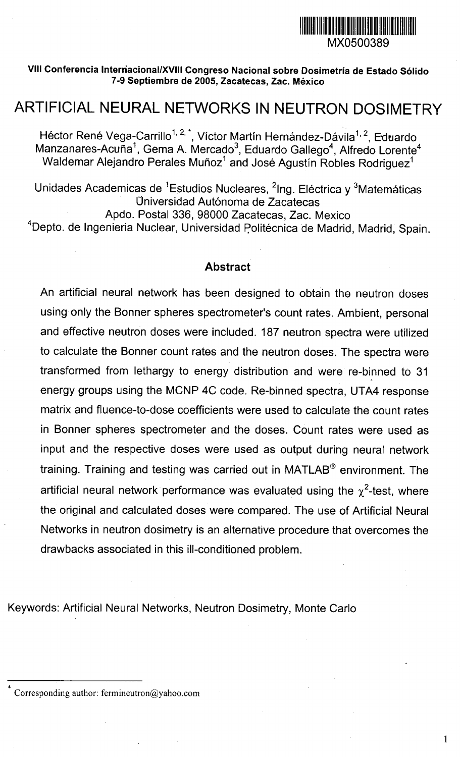

 $\mathbf{1}$ 

### VIII Conferencia Internacional/XVIII Congreso Nacional sobre Dosimetría de Estado Sólido 7-9 Septiembre de 2005, Zacatecas, Zac. México

# ARTIFICIAL NEURAL NETWORKS IN NEUTRON DOSIMETRY

Héctor René Vega-Carrillo<sup>1, 2, \*</sup>, Víctor Martín Hernández-Dávila<sup>1, 2</sup>, Eduardo Manzanares-Acuña<sup>1</sup>, Gema A. Mercado<sup>3</sup>, Eduardo Gallego<sup>4</sup>, Alfredo Lorente<sup>4</sup> Waldemar Alejandro Perales Muñoz<sup>1</sup> and José Agustín Robles Rodriquez<sup>1</sup>

Unidades Academicas de <sup>1</sup>Estudios Nucleares, <sup>2</sup>Ing. Eléctrica y <sup>3</sup>Matemáticas Universidad Autónoma de Zacatecas

Apdo. Postal 336, 98000 Zacatecas, Zac. Mexico

<sup>4</sup>Depto. de Ingenieria Nuclear, Universidad Politécnica de Madrid, Madrid, Spain.

### **Abstract**

An artificial neural network has been designed to obtain the neutron doses using only the Bonner spheres spectrometer's count rates. Ambient, personal and effective neutron doses were included. 187 neutron spectra were utilized to calculate the Bonner count rates and the neutron doses. The spectra were transformed from lethargy to energy distribution and were re-binned to 31 energy groups using the MCNP 4C code. Re-binned spectra, UTA4 response matrix and fluence-to-dose coefficients were used to calculate the count rates in Bonner spheres spectrometer and the doses. Count rates were used as input and the respective doses were used as output during neural network training. Training and testing was carried out in MATLAB® environment. The artificial neural network performance was evaluated using the  $\chi^2$ -test, where the original and calculated doses were compared. The use of Artificial Neural Networks in neutron dosimetry is an alternative procedure that overcomes the drawbacks associated in this ill-conditioned problem.

Keywords: Artificial Neural Networks, Neutron Dosimetry, Monte Carlo

Corresponding author: fermineutron@yahoo.com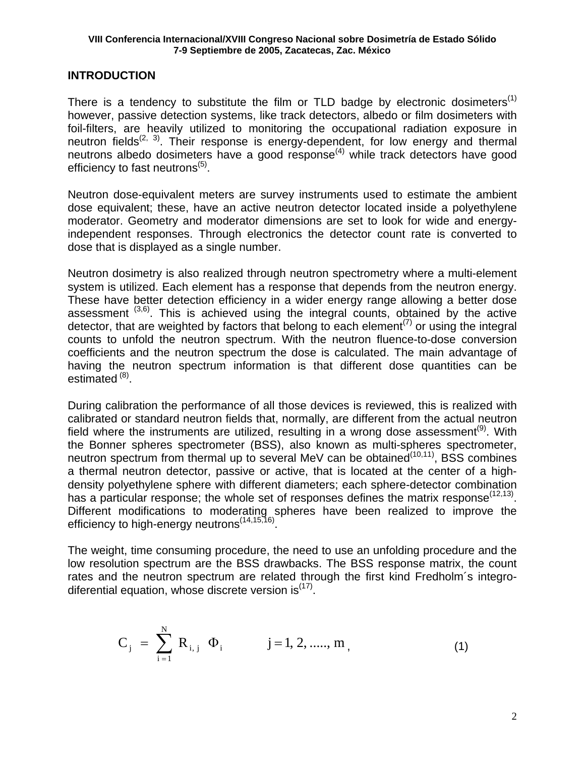# **INTRODUCTION**

There is a tendency to substitute the film or TLD badge by electronic dosimeters<sup>(1)</sup> however, passive detection systems, like track detectors, albedo or film dosimeters with foil-filters, are heavily utilized to monitoring the occupational radiation exposure in neutron fields<sup> $(2, 3)$ </sup>. Their response is energy-dependent, for low energy and thermal neutrons albedo dosimeters have a good response<sup> $(4)$ </sup> while track detectors have good efficiency to fast neutrons $<sup>(5)</sup>$ .</sup>

Neutron dose-equivalent meters are survey instruments used to estimate the ambient dose equivalent; these, have an active neutron detector located inside a polyethylene moderator. Geometry and moderator dimensions are set to look for wide and energyindependent responses. Through electronics the detector count rate is converted to dose that is displayed as a single number.

Neutron dosimetry is also realized through neutron spectrometry where a multi-element system is utilized. Each element has a response that depends from the neutron energy. These have better detection efficiency in a wider energy range allowing a better dose assessment  $(3,6)$ . This is achieved using the integral counts, obtained by the active detector, that are weighted by factors that belong to each element<sup> $(7)$ </sup> or using the integral counts to unfold the neutron spectrum. With the neutron fluence-to-dose conversion coefficients and the neutron spectrum the dose is calculated. The main advantage of having the neutron spectrum information is that different dose quantities can be estimated<sup>(8)</sup>.

During calibration the performance of all those devices is reviewed, this is realized with calibrated or standard neutron fields that, normally, are different from the actual neutron field where the instruments are utilized, resulting in a wrong dose assessment<sup>(9)</sup>. With the Bonner spheres spectrometer (BSS), also known as multi-spheres spectrometer, neutron spectrum from thermal up to several MeV can be obtained<sup>(10,11)</sup>, BSS combines a thermal neutron detector, passive or active, that is located at the center of a highdensity polyethylene sphere with different diameters; each sphere-detector combination has a particular response; the whole set of responses defines the matrix response<sup> $(12,13)$ </sup>. Different modifications to moderating spheres have been realized to improve the efficiency to high-energy neutrons<sup>(14,15,16)</sup>.

The weight, time consuming procedure, the need to use an unfolding procedure and the low resolution spectrum are the BSS drawbacks. The BSS response matrix, the count rates and the neutron spectrum are related through the first kind Fredholm´s integrodiferential equation, whose discrete version  $is^{(17)}$ .

$$
C_j = \sum_{i=1}^{N} R_{i,j} \Phi_i \qquad j=1, 2, \dots, m,
$$
 (1)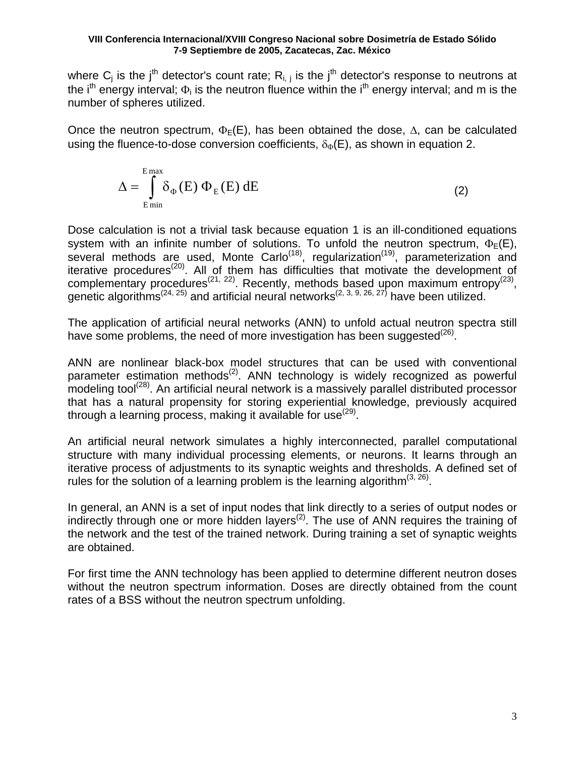where  $C_j$  is the j<sup>th</sup> detector's count rate;  $R_{i,j}$  is the j<sup>th</sup> detector's response to neutrons at the i<sup>th</sup> energy interval;  $\Phi_i$  is the neutron fluence within the i<sup>th</sup> energy interval; and m is the number of spheres utilized.

Once the neutron spectrum,  $\Phi_E(E)$ , has been obtained the dose,  $\Delta$ , can be calculated using the fluence-to-dose conversion coefficients,  $\delta_{\Phi}(E)$ , as shown in equation 2.

$$
\Delta = \int_{E_{\text{min}}}^{E_{\text{max}}} \delta_{\Phi}(E) \Phi_{E}(E) dE
$$
 (2)

Dose calculation is not a trivial task because equation 1 is an ill-conditioned equations system with an infinite number of solutions. To unfold the neutron spectrum,  $\Phi$ <sub>E</sub>(E), several methods are used, Monte Carlo<sup> $(18)$ </sup>, regularization<sup> $(19)$ </sup>, parameterization and iterative procedures<sup>(20)</sup>. All of them has difficulties that motivate the development of complementary procedures<sup>(21, 22)</sup>. Recently, methods based upon maximum entropy<sup>(23)</sup>, genetic algorithms<sup>(24, 25)</sup> and artificial neural networks<sup>(2, 3, 9, 26, 27)</sup> have been utilized.

The application of artificial neural networks (ANN) to unfold actual neutron spectra still have some problems, the need of more investigation has been suggested<sup>(26)</sup>.

ANN are nonlinear black-box model structures that can be used with conventional parameter estimation methods<sup>(2)</sup>. ANN technology is widely recognized as powerful modeling tool<sup>(28)</sup>. An artificial neural network is a massively parallel distributed processor that has a natural propensity for storing experiential knowledge, previously acquired through a learning process, making it available for use<sup> $(29)$ </sup>.

An artificial neural network simulates a highly interconnected, parallel computational structure with many individual processing elements, or neurons. It learns through an iterative process of adjustments to its synaptic weights and thresholds. A defined set of rules for the solution of a learning problem is the learning algorithm<sup> $(3, 26)$ </sup>.

In general, an ANN is a set of input nodes that link directly to a series of output nodes or indirectly through one or more hidden layers<sup> $(2)$ </sup>. The use of ANN requires the training of the network and the test of the trained network. During training a set of synaptic weights are obtained.

For first time the ANN technology has been applied to determine different neutron doses without the neutron spectrum information. Doses are directly obtained from the count rates of a BSS without the neutron spectrum unfolding.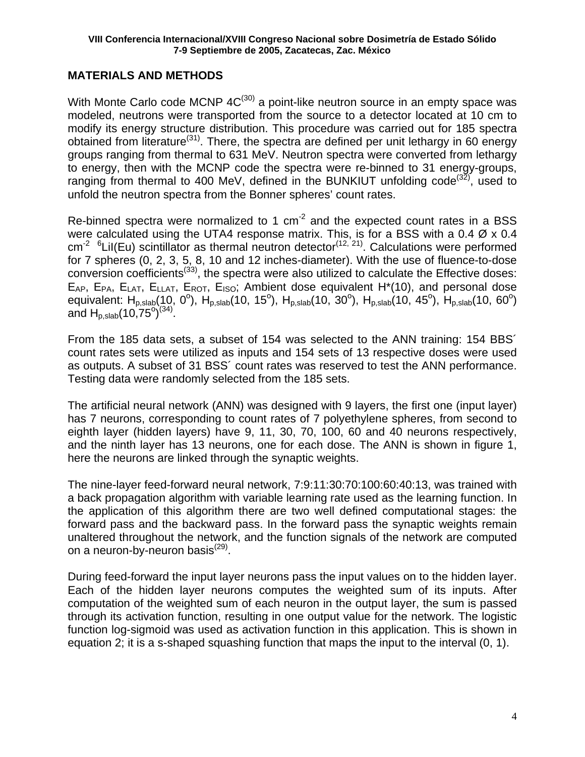# **MATERIALS AND METHODS**

With Monte Carlo code MCNP  $4C^{(30)}$  a point-like neutron source in an empty space was modeled, neutrons were transported from the source to a detector located at 10 cm to modify its energy structure distribution. This procedure was carried out for 185 spectra obtained from literature<sup>(31)</sup>. There, the spectra are defined per unit lethargy in 60 energy groups ranging from thermal to 631 MeV. Neutron spectra were converted from lethargy to energy, then with the MCNP code the spectra were re-binned to 31 energy-groups, ranging from thermal to 400 MeV, defined in the BUNKIUT unfolding code<sup>(32)</sup>, used to unfold the neutron spectra from the Bonner spheres' count rates.

Re-binned spectra were normalized to 1  $cm<sup>-2</sup>$  and the expected count rates in a BSS were calculated using the UTA4 response matrix. This, is for a BSS with a 0.4 Ø x 0.4  $cm<sup>2</sup>$  <sup>6</sup>Lil(Eu) scintillator as thermal neutron detector<sup>(12, 21)</sup>. Calculations were performed for 7 spheres (0, 2, 3, 5, 8, 10 and 12 inches-diameter). With the use of fluence-to-dose conversion coefficients<sup> $(33)$ </sup>, the spectra were also utilized to calculate the Effective doses:  $E_{AP}$ ,  $E_{PA}$ ,  $E_{LAT}$ ,  $E_{LAT}$ ,  $E_{ROT}$ ,  $E_{ISO}$ ; Ambient dose equivalent H<sup>\*</sup>(10), and personal dose equivalent: H<sub>p,slab</sub>(10, 0<sup>o</sup>), H<sub>p,slab</sub>(10, 15<sup>o</sup>), H<sub>p,slab</sub>(10, 30<sup>o</sup>), H<sub>p,slab</sub>(10, 45<sup>o</sup>), H<sub>p,slab</sub>(10, 60<sup>o</sup>) and  $H_{p,slab}(10,75^{\circ})^{(34)}$ .

From the 185 data sets, a subset of 154 was selected to the ANN training: 154 BBS´ count rates sets were utilized as inputs and 154 sets of 13 respective doses were used as outputs. A subset of 31 BSS´ count rates was reserved to test the ANN performance. Testing data were randomly selected from the 185 sets.

The artificial neural network (ANN) was designed with 9 layers, the first one (input layer) has 7 neurons, corresponding to count rates of 7 polyethylene spheres, from second to eighth layer (hidden layers) have 9, 11, 30, 70, 100, 60 and 40 neurons respectively, and the ninth layer has 13 neurons, one for each dose. The ANN is shown in figure 1, here the neurons are linked through the synaptic weights.

The nine-layer feed-forward neural network, 7:9:11:30:70:100:60:40:13, was trained with a back propagation algorithm with variable learning rate used as the learning function. In the application of this algorithm there are two well defined computational stages: the forward pass and the backward pass. In the forward pass the synaptic weights remain unaltered throughout the network, and the function signals of the network are computed on a neuron-by-neuron basis $^{(29)}$ .

During feed-forward the input layer neurons pass the input values on to the hidden layer. Each of the hidden layer neurons computes the weighted sum of its inputs. After computation of the weighted sum of each neuron in the output layer, the sum is passed through its activation function, resulting in one output value for the network. The logistic function log-sigmoid was used as activation function in this application. This is shown in equation 2; it is a s-shaped squashing function that maps the input to the interval (0, 1).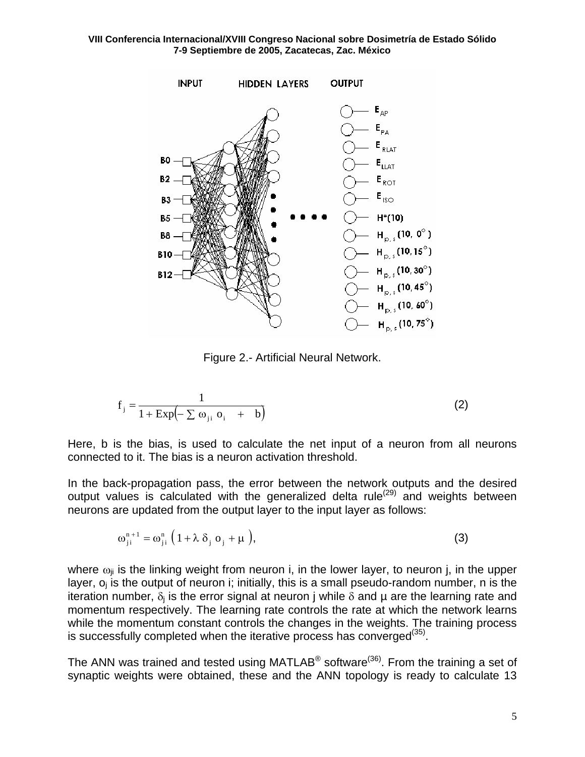

Figure 2.- Artificial Neural Network.

$$
f_j = \frac{1}{1 + \operatorname{Exp}\left(-\sum \omega_{ji} \ o_i + b\right)}\tag{2}
$$

Here, b is the bias, is used to calculate the net input of a neuron from all neurons connected to it. The bias is a neuron activation threshold.

In the back-propagation pass, the error between the network outputs and the desired output values is calculated with the generalized delta rule<sup>(29)</sup> and weights between neurons are updated from the output layer to the input layer as follows:

$$
\omega_{ji}^{n+1} = \omega_{ji}^{n} \left( 1 + \lambda \delta_{j} \sigma_{j} + \mu \right), \tag{3}
$$

where  $\omega_{ii}$  is the linking weight from neuron i, in the lower layer, to neuron j, in the upper layer,  $o_i$  is the output of neuron i; initially, this is a small pseudo-random number, n is the iteration number,  $\delta_i$  is the error signal at neuron j while  $\delta$  and  $\mu$  are the learning rate and momentum respectively. The learning rate controls the rate at which the network learns while the momentum constant controls the changes in the weights. The training process is successfully completed when the iterative process has converged $(35)$ .

The ANN was trained and tested using MATLAB<sup>®</sup> software<sup>(36)</sup>. From the training a set of synaptic weights were obtained, these and the ANN topology is ready to calculate 13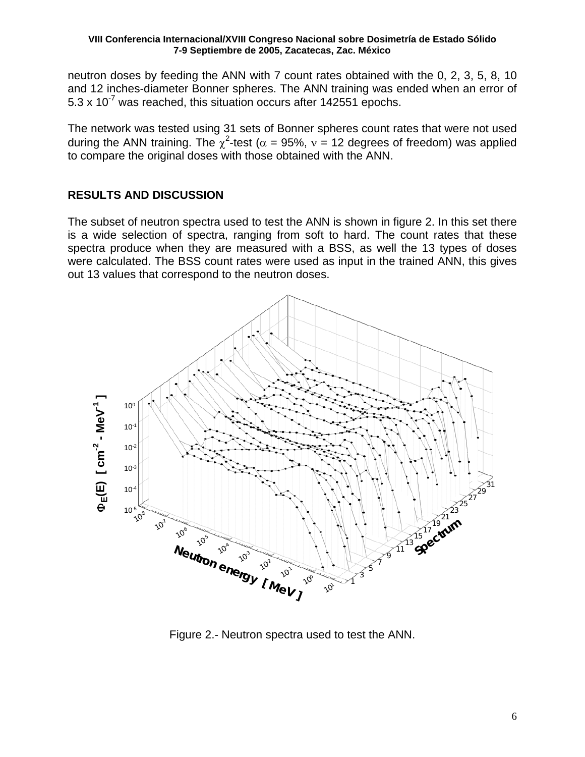neutron doses by feeding the ANN with 7 count rates obtained with the 0, 2, 3, 5, 8, 10 and 12 inches-diameter Bonner spheres. The ANN training was ended when an error of  $5.3 \times 10^{-7}$  was reached, this situation occurs after 142551 epochs.

The network was tested using 31 sets of Bonner spheres count rates that were not used during the ANN training. The  $\chi^2$ -test ( $\alpha$  = 95%,  $v$  = 12 degrees of freedom) was applied to compare the original doses with those obtained with the ANN.

# **RESULTS AND DISCUSSION**

The subset of neutron spectra used to test the ANN is shown in figure 2. In this set there is a wide selection of spectra, ranging from soft to hard. The count rates that these spectra produce when they are measured with a BSS, as well the 13 types of doses were calculated. The BSS count rates were used as input in the trained ANN, this gives out 13 values that correspond to the neutron doses.



Figure 2.- Neutron spectra used to test the ANN.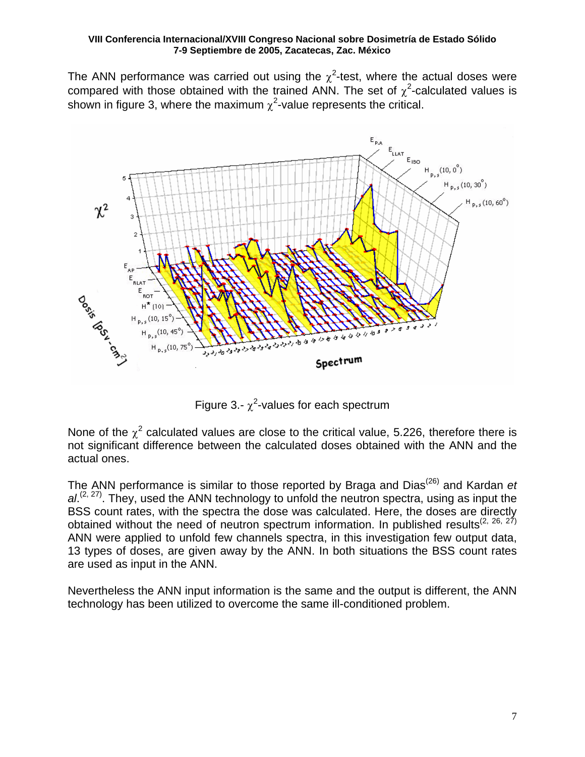The ANN performance was carried out using the  $\chi^2$ -test, where the actual doses were compared with those obtained with the trained ANN. The set of  $\chi^2$ -calculated values is shown in figure 3, where the maximum  $\chi^2$ -value represents the critical.



Figure 3.-  $\chi^2$ -values for each spectrum

None of the  $\chi^2$  calculated values are close to the critical value, 5.226, therefore there is not significant difference between the calculated doses obtained with the ANN and the actual ones.

The ANN performance is similar to those reported by Braga and Dias(26) and Kardan *et*  al.<sup>(2, 27)</sup>. They, used the ANN technology to unfold the neutron spectra, using as input the BSS count rates, with the spectra the dose was calculated. Here, the doses are directly obtained without the need of neutron spectrum information. In published results<sup>(2, 26, 27)</sup> ANN were applied to unfold few channels spectra, in this investigation few output data, 13 types of doses, are given away by the ANN. In both situations the BSS count rates are used as input in the ANN.

Nevertheless the ANN input information is the same and the output is different, the ANN technology has been utilized to overcome the same ill-conditioned problem.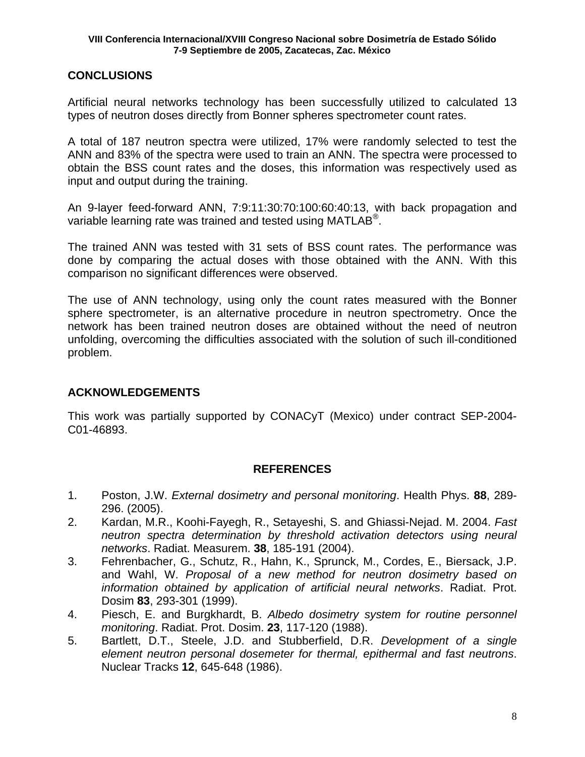# **CONCLUSIONS**

Artificial neural networks technology has been successfully utilized to calculated 13 types of neutron doses directly from Bonner spheres spectrometer count rates.

A total of 187 neutron spectra were utilized, 17% were randomly selected to test the ANN and 83% of the spectra were used to train an ANN. The spectra were processed to obtain the BSS count rates and the doses, this information was respectively used as input and output during the training.

An 9-layer feed-forward ANN, 7:9:11:30:70:100:60:40:13, with back propagation and variable learning rate was trained and tested using MATLAB<sup>®</sup>.

The trained ANN was tested with 31 sets of BSS count rates. The performance was done by comparing the actual doses with those obtained with the ANN. With this comparison no significant differences were observed.

The use of ANN technology, using only the count rates measured with the Bonner sphere spectrometer, is an alternative procedure in neutron spectrometry. Once the network has been trained neutron doses are obtained without the need of neutron unfolding, overcoming the difficulties associated with the solution of such ill-conditioned problem.

# **ACKNOWLEDGEMENTS**

This work was partially supported by CONACyT (Mexico) under contract SEP-2004- C01-46893.

# **REFERENCES**

- 1. Poston, J.W. *External dosimetry and personal monitoring*. Health Phys. **88**, 289- 296. (2005).
- 2. Kardan, M.R., Koohi-Fayegh, R., Setayeshi, S. and Ghiassi-Nejad. M. 2004. *Fast neutron spectra determination by threshold activation detectors using neural networks*. Radiat. Measurem. **38**, 185-191 (2004).
- 3. Fehrenbacher, G., Schutz, R., Hahn, K., Sprunck, M., Cordes, E., Biersack, J.P. and Wahl, W. *Proposal of a new method for neutron dosimetry based on information obtained by application of artificial neural networks*. Radiat. Prot. Dosim **83**, 293-301 (1999).
- 4. Piesch, E. and Burgkhardt, B. *Albedo dosimetry system for routine personnel monitoring*. Radiat. Prot. Dosim. **23**, 117-120 (1988).
- 5. Bartlett, D.T., Steele, J.D. and Stubberfield, D.R. *Development of a single element neutron personal dosemeter for thermal, epithermal and fast neutrons*. Nuclear Tracks **12**, 645-648 (1986).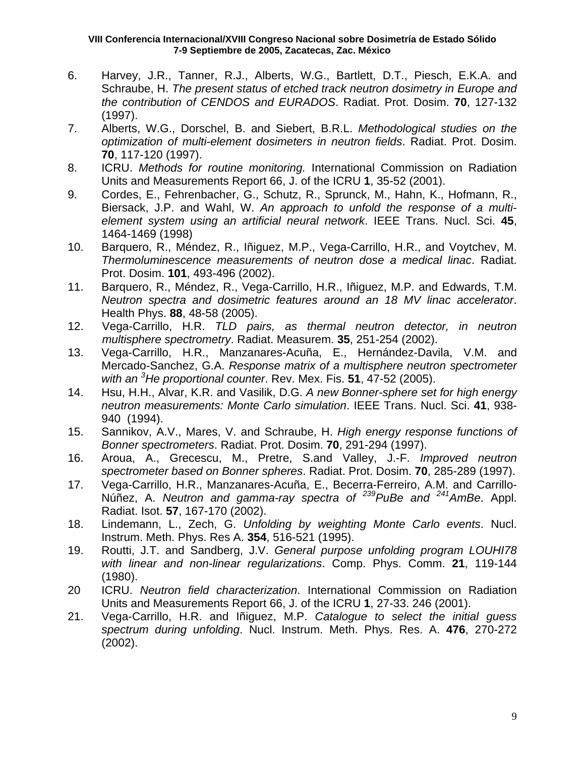- 6. Harvey, J.R., Tanner, R.J., Alberts, W.G., Bartlett, D.T., Piesch, E.K.A. and Schraube, H. *The present status of etched track neutron dosimetry in Europe and the contribution of CENDOS and EURADOS*. Radiat. Prot. Dosim. **70**, 127-132 (1997).
- 7. Alberts, W.G., Dorschel, B. and Siebert, B.R.L. *Methodological studies on the optimization of multi-element dosimeters in neutron fields*. Radiat. Prot. Dosim. **70**, 117-120 (1997).
- 8. ICRU. *Methods for routine monitoring.* International Commission on Radiation Units and Measurements Report 66, J. of the ICRU **1**, 35-52 (2001).
- 9. Cordes, E., Fehrenbacher, G., Schutz, R., Sprunck, M., Hahn, K., Hofmann, R., Biersack, J.P. and Wahl, W. *An approach to unfold the response of a multielement system using an artificial neural network*. IEEE Trans. Nucl. Sci. **45**, 1464-1469 (1998)
- 10. Barquero, R., Méndez, R., Iñiguez, M.P., Vega-Carrillo, H.R., and Voytchev, M. *Thermoluminescence measurements of neutron dose a medical linac*. Radiat. Prot. Dosim. **101**, 493-496 (2002).
- 11. Barquero, R., Méndez, R., Vega-Carrillo, H.R., Iñiguez, M.P. and Edwards, T.M. *Neutron spectra and dosimetric features around an 18 MV linac accelerator*. Health Phys. **88**, 48-58 (2005).
- 12. Vega-Carrillo, H.R. *TLD pairs, as thermal neutron detector, in neutron multisphere spectrometry*. Radiat. Measurem. **35**, 251-254 (2002).
- 13. Vega-Carrillo, H.R., Manzanares-Acuña, E., Hernández-Davila, V.M. and Mercado-Sanchez, G.A. *Response matrix of a multisphere neutron spectrometer with an <sup>3</sup> He proportional counter*. Rev. Mex. Fis. **51**, 47-52 (2005).
- 14. Hsu, H.H., Alvar, K.R. and Vasilik, D.G. *A new Bonner-sphere set for high energy neutron measurements: Monte Carlo simulation*. IEEE Trans. Nucl. Sci. **41**, 938- 940 (1994).
- 15. Sannikov, A.V., Mares, V. and Schraube, H. *High energy response functions of Bonner spectrometers*. Radiat. Prot. Dosim. **70**, 291-294 (1997).
- 16. Aroua, A., Grecescu, M., Pretre, S.and Valley, J.-F. *Improved neutron spectrometer based on Bonner spheres*. Radiat. Prot. Dosim. **70**, 285-289 (1997).
- 17. Vega-Carrillo, H.R., Manzanares-Acuña, E., Becerra-Ferreiro, A.M. and Carrillo-Núñez, A. *Neutron and gamma-ray spectra of 239PuBe and 241AmBe*. Appl. Radiat. Isot. **57**, 167-170 (2002).
- 18. Lindemann, L., Zech, G. *Unfolding by weighting Monte Carlo events*. Nucl. Instrum. Meth. Phys. Res A. **354**, 516-521 (1995).
- 19. Routti, J.T. and Sandberg, J.V. *General purpose unfolding program LOUHI78 with linear and non-linear regularizations*. Comp. Phys. Comm. **21**, 119-144 (1980).
- 20 ICRU. *Neutron field characterization*. International Commission on Radiation Units and Measurements Report 66, J. of the ICRU **1**, 27-33. 246 (2001).
- 21. Vega-Carrillo, H.R. and Iñiguez, M.P. *Catalogue to select the initial guess spectrum during unfolding*. Nucl. Instrum. Meth. Phys. Res. A. **476**, 270-272 (2002).